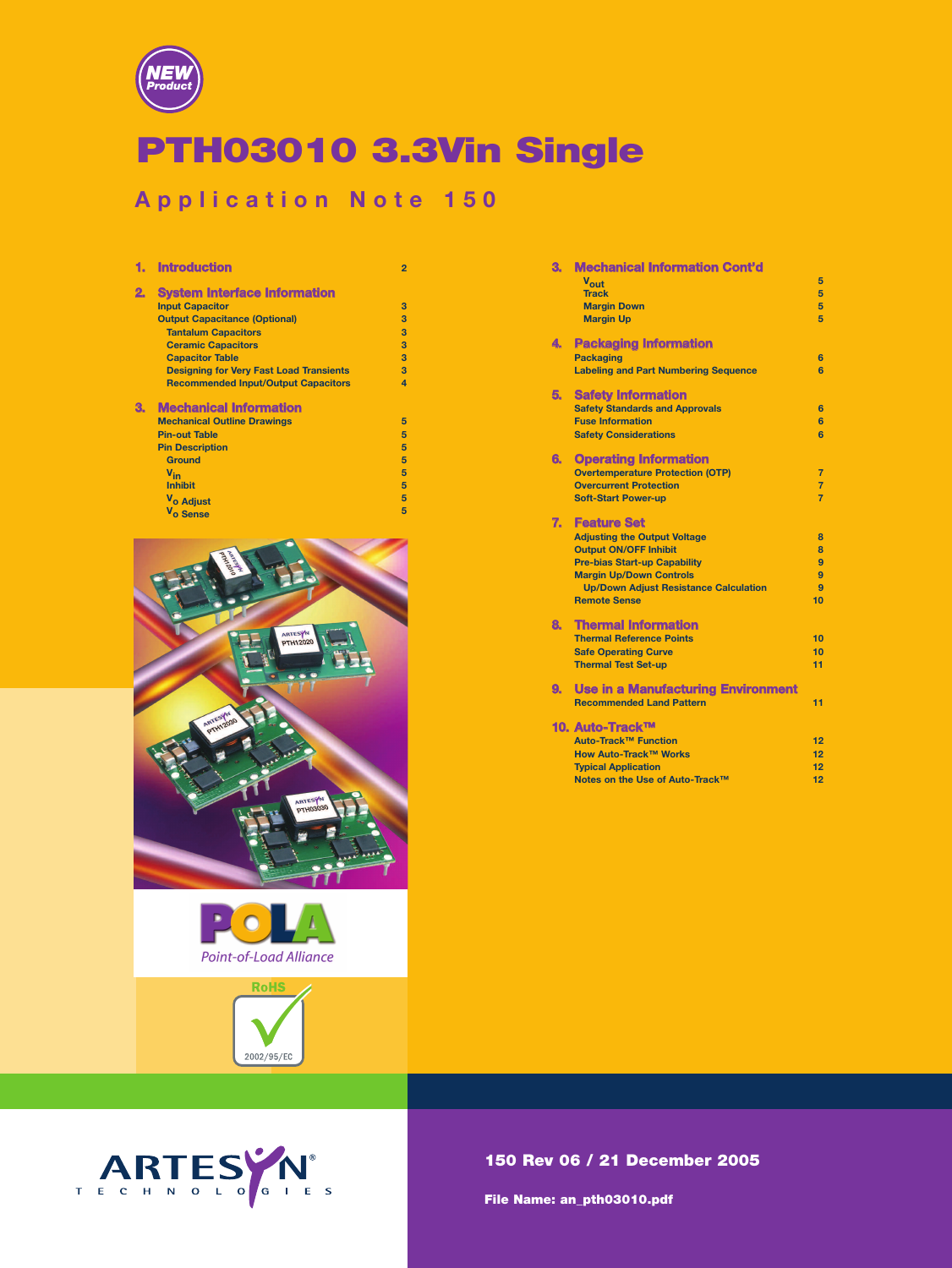

# **PTH03010 3.3Vin Single**

# **Application Note 150**

|    | <b>Introduction</b>                            | $\overline{2}$ |
|----|------------------------------------------------|----------------|
| 2. | <b>System Interface Information</b>            |                |
|    | <b>Input Capacitor</b>                         | 3              |
|    | <b>Output Capacitance (Optional)</b>           | 3              |
|    | <b>Tantalum Capacitors</b>                     | 3              |
|    | <b>Ceramic Capacitors</b>                      | 3              |
|    | <b>Capacitor Table</b>                         | 3              |
|    | <b>Designing for Very Fast Load Transients</b> | 3              |
|    | <b>Recommended Input/Output Capacitors</b>     | $\overline{a}$ |
| З. | <b>Mechanical Information</b>                  |                |
|    | <b>Mechanical Outline Drawings</b>             | 5              |
|    | <b>Pin-out Table</b>                           | 5              |
|    | <b>Pin Description</b>                         | 5              |
|    | <b>Ground</b>                                  | 5              |
|    | $V_{in}$                                       | 5              |
|    | <b>Inhibit</b>                                 | 5              |
|    | V <sub>o</sub> Adjust                          | 5              |
|    | V <sub>o</sub> Sense                           | 5              |







|    | $V_{\rm out}$                                | 5              |
|----|----------------------------------------------|----------------|
|    | <b>Track</b>                                 | 5              |
|    | <b>Margin Down</b>                           | 5              |
|    | <b>Margin Up</b>                             | 5              |
| 4. | <b>Packaging Information</b>                 |                |
|    | <b>Packaging</b>                             | 6              |
|    | <b>Labeling and Part Numbering Sequence</b>  | 6              |
| 5. | <b>Safety Information</b>                    |                |
|    | <b>Safety Standards and Approvals</b>        | 6              |
|    | <b>Fuse Information</b>                      | 6              |
|    | <b>Safety Considerations</b>                 | 6              |
| 6. | <b>Operating Information</b>                 |                |
|    | <b>Overtemperature Protection (OTP)</b>      | $\overline{7}$ |
|    | <b>Overcurrent Protection</b>                | $\overline{7}$ |
|    | <b>Soft-Start Power-up</b>                   | $\overline{7}$ |
| 7. | <b>Feature Set</b>                           |                |
|    | <b>Adjusting the Output Voltage</b>          | 8              |
|    | <b>Output ON/OFF Inhibit</b>                 | 8              |
|    | <b>Pre-bias Start-up Capability</b>          | 9              |
|    | <b>Margin Up/Down Controls</b>               | 9              |
|    | <b>Up/Down Adjust Resistance Calculation</b> | $\mathbf{Q}$   |
|    | <b>Remote Sense</b>                          | 10             |
| 8. | <b>Thermal Information</b>                   |                |
|    | <b>Thermal Reference Points</b>              | 10             |
|    | <b>Safe Operating Curve</b>                  | 10             |
|    | <b>Thermal Test Set-up</b>                   | 11             |
| 9. | <b>Use in a Manufacturing Environment</b>    |                |
|    | <b>Recommended Land Pattern</b>              | 11             |
|    | 10. Auto-Track™                              |                |
|    | Auto-Track™ Function                         | 12             |
|    | How Auto-Track™ Works                        | 12             |
|    | <b>Typical Application</b>                   | 12             |
|    | Notes on the Use of Auto-Track™              | 12             |

**3. Mechanical Information Cont'd**

# **150 Rev 06 /** 21 **December 2005**

**File Name: an\_pth03010.pdf**

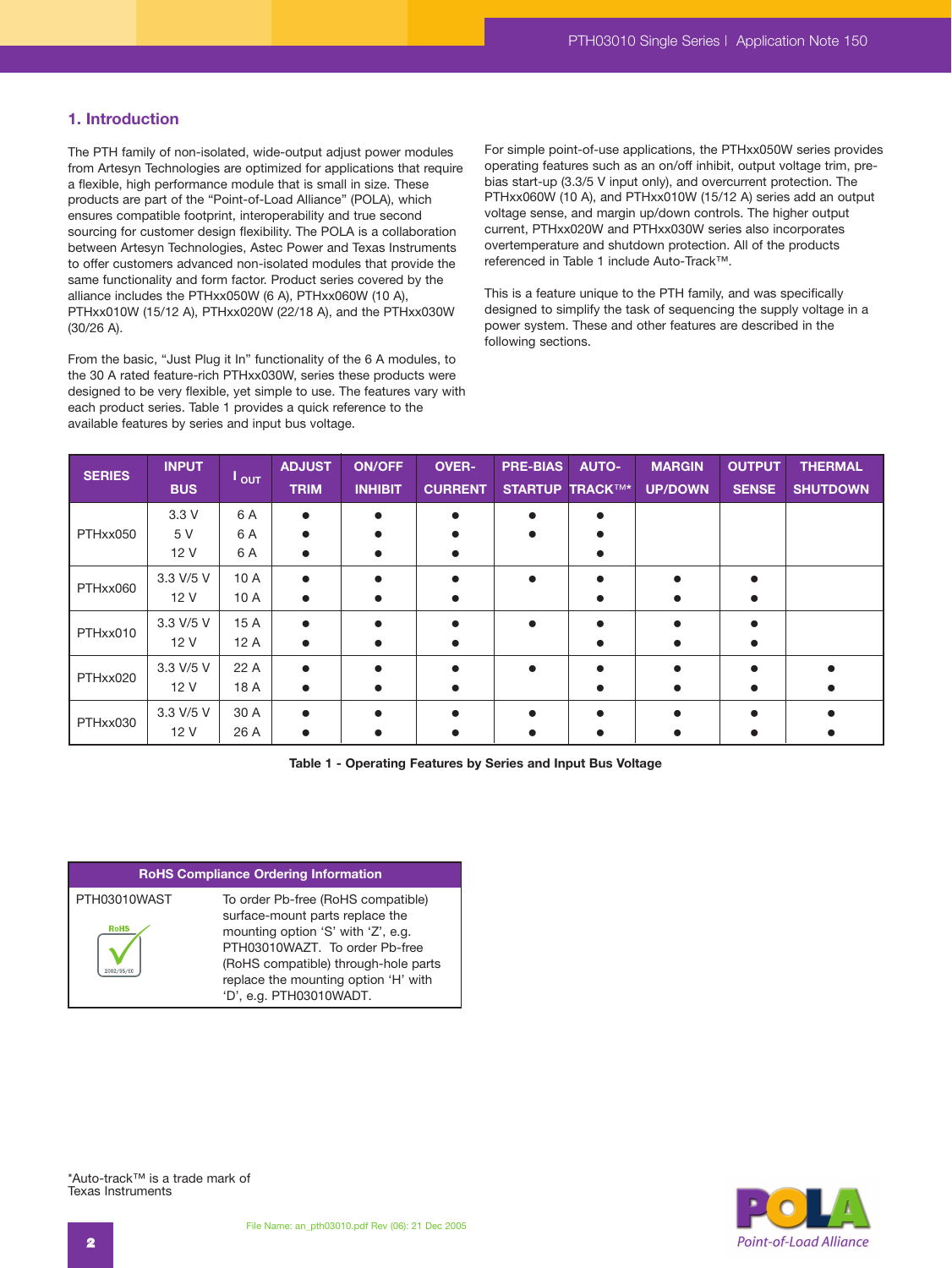# **1. Introduction**

The PTH family of non-isolated, wide-output adjust power modules from Artesyn Technologies are optimized for applications that require a flexible, high performance module that is small in size. These products are part of the "Point-of-Load Alliance" (POLA), which ensures compatible footprint, interoperability and true second sourcing for customer design flexibility. The POLA is a collaboration between Artesyn Technologies, Astec Power and Texas Instruments to offer customers advanced non-isolated modules that provide the same functionality and form factor. Product series covered by the alliance includes the PTHxx050W (6 A), PTHxx060W (10 A), PTHxx010W (15/12 A), PTHxx020W (22/18 A), and the PTHxx030W (30/26 A).

From the basic, "Just Plug it In" functionality of the 6 A modules, to the 30 A rated feature-rich PTHxx030W, series these products were designed to be very flexible, yet simple to use. The features vary with each product series. Table 1 provides a quick reference to the available features by series and input bus voltage.

For simple point-of-use applications, the PTHxx050W series provides operating features such as an on/off inhibit, output voltage trim, prebias start-up (3.3/5 V input only), and overcurrent protection. The PTHxx060W (10 A), and PTHxx010W (15/12 A) series add an output voltage sense, and margin up/down controls. The higher output current, PTHxx020W and PTHxx030W series also incorporates overtemperature and shutdown protection. All of the products referenced in Table 1 include Auto-Track™.

This is a feature unique to the PTH family, and was specifically designed to simplify the task of sequencing the supply voltage in a power system. These and other features are described in the following sections.

| <b>SERIES</b> | <b>INPUT</b><br><b>BUS</b> | $\overline{\phantom{a}}$ out | <b>ADJUST</b><br><b>TRIM</b> | <b>ON/OFF</b><br><b>INHIBIT</b> | <b>OVER-</b><br><b>CURRENT</b> | <b>PRE-BIAS</b> | <b>AUTO-</b><br><b>STARTUP TRACKTM*</b> | <b>MARGIN</b><br><b>UP/DOWN</b> | <b>OUTPUT</b><br><b>SENSE</b> | <b>THERMAL</b><br><b>SHUTDOWN</b> |
|---------------|----------------------------|------------------------------|------------------------------|---------------------------------|--------------------------------|-----------------|-----------------------------------------|---------------------------------|-------------------------------|-----------------------------------|
|               | 3.3V                       | 6 A                          |                              | $\bullet$                       |                                |                 |                                         |                                 |                               |                                   |
| PTHxx050      | 5 V                        | 6 A                          |                              |                                 |                                |                 |                                         |                                 |                               |                                   |
|               | 12 V                       | 6 A                          |                              |                                 |                                |                 |                                         |                                 |                               |                                   |
| PTHxx060      | 3.3 V/5 V                  | 10 A                         |                              |                                 |                                |                 |                                         |                                 |                               |                                   |
|               | 12 V                       | 10 A                         |                              |                                 |                                |                 |                                         |                                 |                               |                                   |
| PTHxx010      | 3.3 V/5 V                  | 15 A                         |                              | $\bullet$                       |                                |                 |                                         |                                 |                               |                                   |
|               | 12 V                       | 12 A                         |                              |                                 |                                |                 |                                         |                                 |                               |                                   |
| PTHxx020      | 3.3 V/5 V                  | 22 A                         |                              |                                 |                                |                 |                                         |                                 |                               |                                   |
|               | 12V                        | 18 A                         |                              |                                 |                                |                 |                                         |                                 |                               |                                   |
|               | 3.3 V/5 V                  | 30 A                         |                              |                                 |                                |                 |                                         |                                 |                               |                                   |
| PTHxx030      | 12 V                       | 26 A                         |                              |                                 |                                |                 |                                         |                                 |                               |                                   |

**Table 1 - Operating Features by Series and Input Bus Voltage**

### **RoHS Compliance Ordering Information**



PTH03010WAST To order Pb-free (RoHS compatible) surface-mount parts replace the mounting option 'S' with 'Z', e.g. PTH03010WAZT. To order Pb-free (RoHS compatible) through-hole parts replace the mounting option 'H' with 'D', e.g. PTH03010WADT.



\*Auto-track™ is a trade mark of Texas Instruments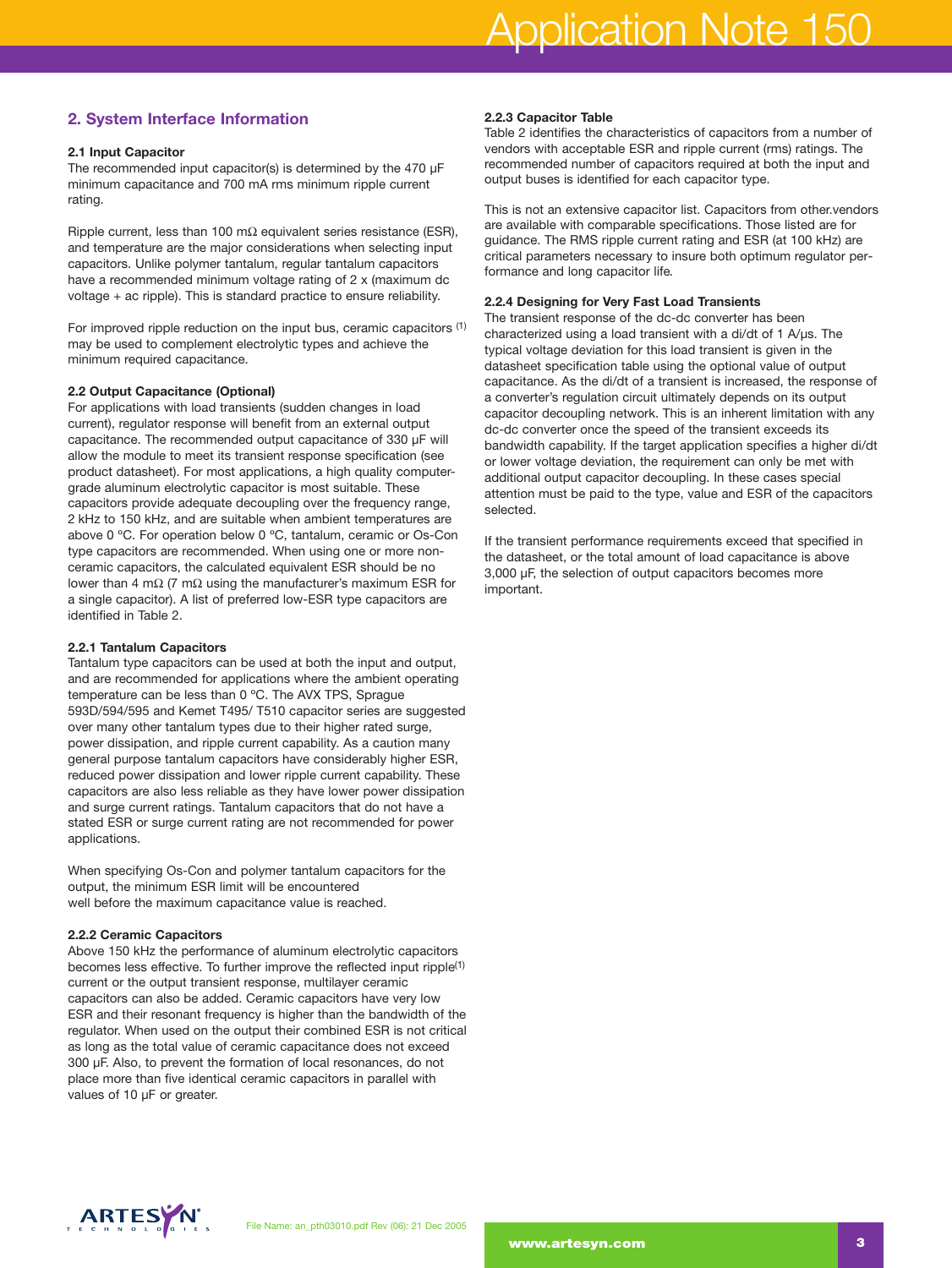# **2. System Interface Information**

# **2.1 Input Capacitor**

The recommended input capacitor(s) is determined by the 470 µF minimum capacitance and 700 mA rms minimum ripple current rating.

Ripple current, less than 100 m $\Omega$  equivalent series resistance (ESR), and temperature are the major considerations when selecting input capacitors. Unlike polymer tantalum, regular tantalum capacitors have a recommended minimum voltage rating of 2 x (maximum dc voltage + ac ripple). This is standard practice to ensure reliability.

For improved ripple reduction on the input bus, ceramic capacitors (1) may be used to complement electrolytic types and achieve the minimum required capacitance.

# **2.2 Output Capacitance (Optional)**

For applications with load transients (sudden changes in load current), regulator response will benefit from an external output capacitance. The recommended output capacitance of 330 µF will allow the module to meet its transient response specification (see product datasheet). For most applications, a high quality computergrade aluminum electrolytic capacitor is most suitable. These capacitors provide adequate decoupling over the frequency range, 2 kHz to 150 kHz, and are suitable when ambient temperatures are above 0 ºC. For operation below 0 ºC, tantalum, ceramic or Os-Con type capacitors are recommended. When using one or more nonceramic capacitors, the calculated equivalent ESR should be no lower than 4 mΩ (7 mΩ using the manufacturer's maximum ESR for a single capacitor). A list of preferred low-ESR type capacitors are identified in Table 2.

# **2.2.1 Tantalum Capacitors**

Tantalum type capacitors can be used at both the input and output, and are recommended for applications where the ambient operating temperature can be less than 0 ºC. The AVX TPS, Sprague 593D/594/595 and Kemet T495/ T510 capacitor series are suggested over many other tantalum types due to their higher rated surge, power dissipation, and ripple current capability. As a caution many general purpose tantalum capacitors have considerably higher ESR, reduced power dissipation and lower ripple current capability. These capacitors are also less reliable as they have lower power dissipation and surge current ratings. Tantalum capacitors that do not have a stated ESR or surge current rating are not recommended for power applications.

When specifying Os-Con and polymer tantalum capacitors for the output, the minimum ESR limit will be encountered well before the maximum capacitance value is reached.

# **2.2.2 Ceramic Capacitors**

Above 150 kHz the performance of aluminum electrolytic capacitors becomes less effective. To further improve the reflected input ripple(1) current or the output transient response, multilayer ceramic capacitors can also be added. Ceramic capacitors have very low ESR and their resonant frequency is higher than the bandwidth of the regulator. When used on the output their combined ESR is not critical as long as the total value of ceramic capacitance does not exceed 300 µF. Also, to prevent the formation of local resonances, do not place more than five identical ceramic capacitors in parallel with values of 10 µF or greater.

# **2.2.3 Capacitor Table**

Table 2 identifies the characteristics of capacitors from a number of vendors with acceptable ESR and ripple current (rms) ratings. The recommended number of capacitors required at both the input and output buses is identified for each capacitor type.

This is not an extensive capacitor list. Capacitors from other.vendors are available with comparable specifications. Those listed are for guidance. The RMS ripple current rating and ESR (at 100 kHz) are critical parameters necessary to insure both optimum regulator performance and long capacitor life*.*

# **2.2.4 Designing for Very Fast Load Transients**

The transient response of the dc-dc converter has been characterized using a load transient with a di/dt of 1 A/µs. The typical voltage deviation for this load transient is given in the datasheet specification table using the optional value of output capacitance. As the di/dt of a transient is increased, the response of a converter's regulation circuit ultimately depends on its output capacitor decoupling network. This is an inherent limitation with any dc-dc converter once the speed of the transient exceeds its bandwidth capability. If the target application specifies a higher di/dt or lower voltage deviation, the requirement can only be met with additional output capacitor decoupling. In these cases special attention must be paid to the type, value and ESR of the capacitors selected.

If the transient performance requirements exceed that specified in the datasheet, or the total amount of load capacitance is above 3,000 µF, the selection of output capacitors becomes more important.

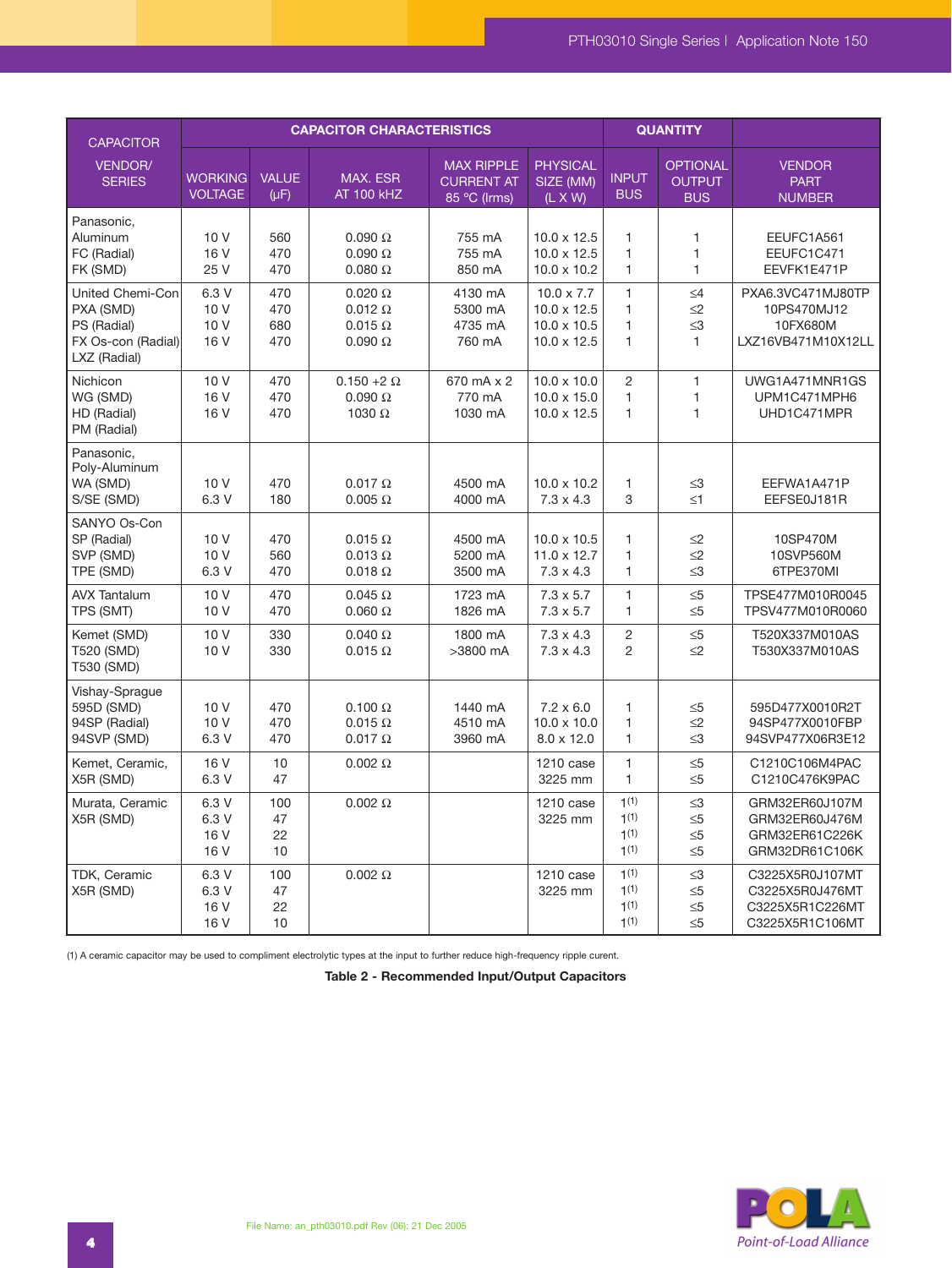| <b>CAPACITOR</b>                                                                   | <b>CAPACITOR CHARACTERISTICS</b> |                           |                                                                       |                                                        |                                                                                     |                                                | <b>QUANTITY</b>                                |                                                                          |
|------------------------------------------------------------------------------------|----------------------------------|---------------------------|-----------------------------------------------------------------------|--------------------------------------------------------|-------------------------------------------------------------------------------------|------------------------------------------------|------------------------------------------------|--------------------------------------------------------------------------|
| VENDOR/<br><b>SERIES</b>                                                           | <b>WORKING</b><br><b>VOLTAGE</b> | <b>VALUE</b><br>$(\mu F)$ | MAX. ESR<br><b>AT 100 kHZ</b>                                         | <b>MAX RIPPLE</b><br><b>CURRENT AT</b><br>85 °C (Irms) | <b>PHYSICAL</b><br>SIZE (MM)<br>$(L \times W)$                                      | <b>INPUT</b><br><b>BUS</b>                     | <b>OPTIONAL</b><br><b>OUTPUT</b><br><b>BUS</b> | <b>VENDOR</b><br><b>PART</b><br><b>NUMBER</b>                            |
| Panasonic,<br>Aluminum<br>FC (Radial)<br>FK (SMD)                                  | 10 V<br>16 V<br>25 V             | 560<br>470<br>470         | $0.090 \Omega$<br>$0.090 \Omega$<br>$0.080\ \Omega$                   | 755 mA<br>755 mA<br>850 mA                             | $10.0 \times 12.5$<br>$10.0 \times 12.5$<br>$10.0 \times 10.2$                      | 1<br>1<br>$\mathbf{1}$                         | 1<br>$\mathbf{1}$<br>$\mathbf{1}$              | EEUFC1A561<br>EEUFC1C471<br>EEVFK1E471P                                  |
| United Chemi-Con<br>PXA (SMD)<br>PS (Radial)<br>FX Os-con (Radial)<br>LXZ (Radial) | 6.3 V<br>10 V<br>10 V<br>16 V    | 470<br>470<br>680<br>470  | $0.020 \Omega$<br>$0.012 \Omega$<br>$0.015 \Omega$<br>$0.090\ \Omega$ | 4130 mA<br>5300 mA<br>4735 mA<br>760 mA                | $10.0 \times 7.7$<br>$10.0 \times 12.5$<br>$10.0 \times 10.5$<br>$10.0 \times 12.5$ | 1<br>1<br>$\mathbf{1}$<br>$\mathbf{1}$         | $\leq 4$<br>$\leq$ 2<br>≤3<br>$\mathbf{1}$     | PXA6.3VC471MJ80TP<br>10PS470MJ12<br>10FX680M<br>LXZ16VB471M10X12LL       |
| Nichicon<br>WG (SMD)<br>HD (Radial)<br>PM (Radial)                                 | 10 V<br>16 V<br>16 V             | 470<br>470<br>470         | $0.150 + 2 \Omega$<br>$0.090\ \Omega$<br>1030 $\Omega$                | 670 mA x 2<br>770 mA<br>1030 mA                        | $10.0 \times 10.0$<br>$10.0 \times 15.0$<br>$10.0 \times 12.5$                      | $\overline{2}$<br>$\mathbf{1}$<br>$\mathbf{1}$ | $\mathbf{1}$<br>$\mathbf{1}$<br>$\mathbf{1}$   | UWG1A471MNR1GS<br>UPM1C471MPH6<br>UHD1C471MPR                            |
| Panasonic,<br>Poly-Aluminum<br>WA (SMD)<br>S/SE (SMD)                              | 10 V<br>6.3 V                    | 470<br>180                | $0.017 \Omega$<br>$0.005 \Omega$                                      | 4500 mA<br>4000 mA                                     | $10.0 \times 10.2$<br>$7.3 \times 4.3$                                              | $\mathbf{1}$<br>3                              | $\leq 3$<br>$\leq 1$                           | EEFWA1A471P<br>EEFSE0J181R                                               |
| SANYO Os-Con<br>SP (Radial)<br>SVP (SMD)<br>TPE (SMD)                              | 10 V<br>10 V<br>6.3 V            | 470<br>560<br>470         | $0.015 \Omega$<br>$0.013 \Omega$<br>$0.018 \Omega$                    | 4500 mA<br>5200 mA<br>3500 mA                          | $10.0 \times 10.5$<br>$11.0 \times 12.7$<br>$7.3 \times 4.3$                        | 1<br>1<br>$\mathbf{1}$                         | $\leq$ 2<br>$\leq$ 2<br>$\leq$ 3               | 10SP470M<br>10SVP560M<br>6TPE370MI                                       |
| <b>AVX Tantalum</b><br>TPS (SMT)                                                   | 10 V<br>10 V                     | 470<br>470                | $0.045 \Omega$<br>$0.060 \Omega$                                      | 1723 mA<br>1826 mA                                     | $7.3 \times 5.7$<br>$7.3 \times 5.7$                                                | $\mathbf{1}$<br>1                              | $\leq 5$<br>$\leq 5$                           | TPSE477M010R0045<br>TPSV477M010R0060                                     |
| Kemet (SMD)<br>T520 (SMD)<br>T530 (SMD)                                            | 10 V<br>10 V                     | 330<br>330                | $0.040 \Omega$<br>$0.015 \Omega$                                      | 1800 mA<br>>3800 mA                                    | $7.3 \times 4.3$<br>$7.3 \times 4.3$                                                | $\overline{2}$<br>$\overline{c}$               | $\leq 5$<br>$\leq$ 2                           | T520X337M010AS<br>T530X337M010AS                                         |
| Vishay-Sprague<br>595D (SMD)<br>94SP (Radial)<br>94SVP (SMD)                       | 10 V<br>10 V<br>6.3 V            | 470<br>470<br>470         | $0.100 \Omega$<br>$0.015 \Omega$<br>$0.017 \Omega$                    | 1440 mA<br>4510 mA<br>3960 mA                          | $7.2 \times 6.0$<br>$10.0 \times 10.0$<br>$8.0 \times 12.0$                         | 1<br>1<br>1                                    | $\leq 5$<br>$\leq$ 2<br>$\leq$ 3               | 595D477X0010R2T<br>94SP477X0010FBP<br>94SVP477X06R3E12                   |
| Kemet, Ceramic,<br>X5R (SMD)                                                       | 16 V<br>6.3 V                    | 10<br>47                  | $0.002 \Omega$                                                        |                                                        | 1210 case<br>3225 mm                                                                | 1<br>1                                         | $\leq 5$<br>$\leq 5$                           | C1210C106M4PAC<br>C1210C476K9PAC                                         |
| Murata, Ceramic<br>X5R (SMD)                                                       | 6.3 V<br>6.3 V<br>16 V<br>16 V   | 100<br>47<br>22<br>10     | $0.002 \Omega$                                                        |                                                        | 1210 case<br>3225 mm                                                                | 1(1)<br>1(1)<br>1(1)<br>1(1)                   | $\leq$ 3<br>$\leq 5$<br>$\leq 5$<br>$\leq 5$   | GRM32ER60J107M<br>GRM32ER60J476M<br>GRM32ER61C226K<br>GRM32DR61C106K     |
| TDK, Ceramic<br>X5R (SMD)                                                          | 6.3 V<br>6.3 V<br>16 V<br>16 V   | 100<br>47<br>22<br>10     | $0.002 \Omega$                                                        |                                                        | 1210 case<br>3225 mm                                                                | 1(1)<br>1(1)<br>1(1)<br>1(1)                   | $\leq$ 3<br>$\leq 5$<br>$\leq 5$<br>$\leq 5$   | C3225X5R0J107MT<br>C3225X5R0J476MT<br>C3225X5R1C226MT<br>C3225X5R1C106MT |

(1) A ceramic capacitor may be used to compliment electrolytic types at the input to further reduce high-frequency ripple curent.

**Table 2 - Recommended Input/Output Capacitors**

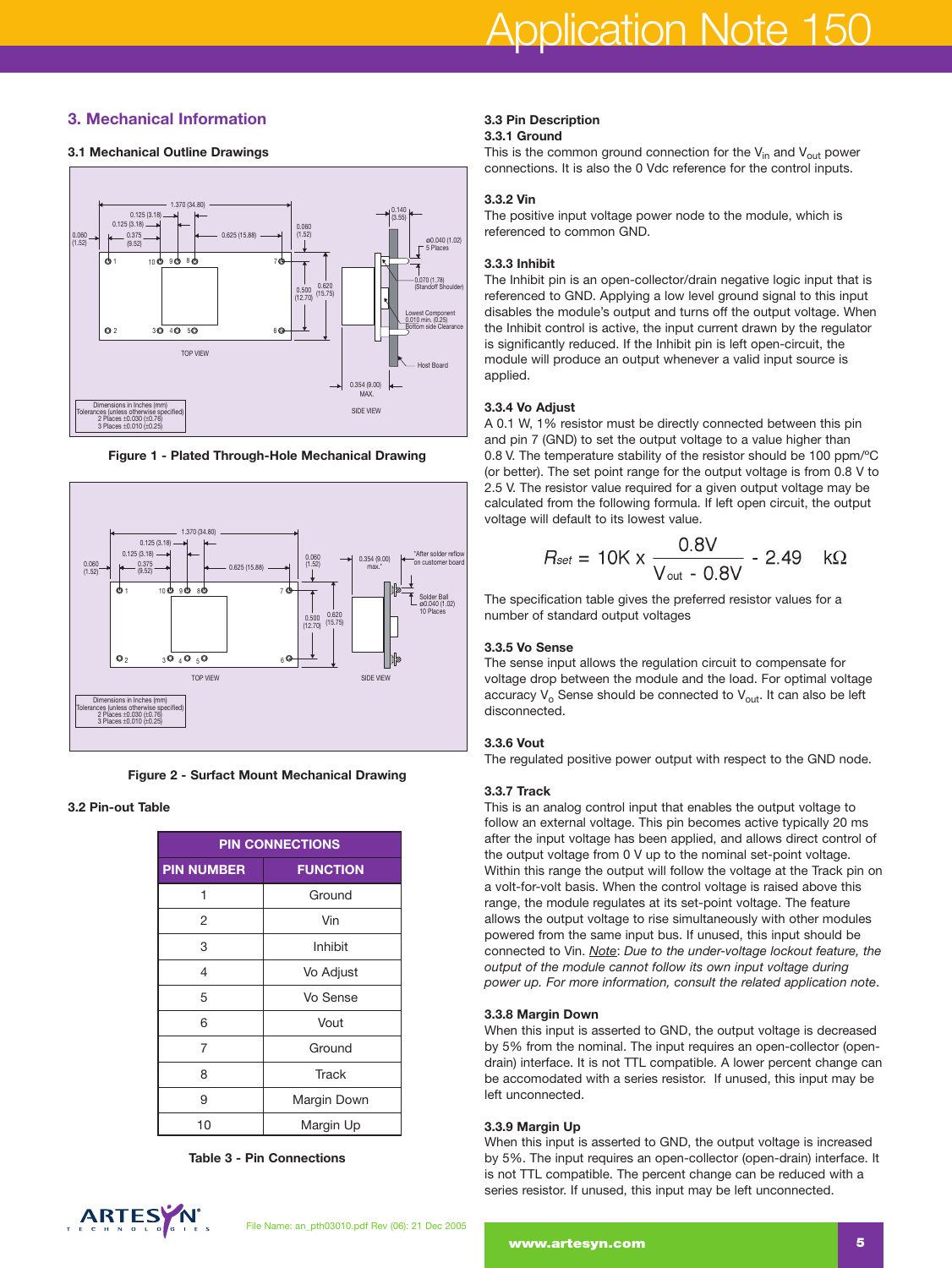# **3. Mechanical Information**

# **3.1 Mechanical Outline Drawings**



**Figure 1 - Plated Through-Hole Mechanical Drawing** 



**Figure 2 - Surfact Mount Mechanical Drawing**

# **3.2 Pin-out Table**

| <b>PIN CONNECTIONS</b> |                 |  |  |  |  |
|------------------------|-----------------|--|--|--|--|
| <b>PIN NUMBER</b>      | <b>FUNCTION</b> |  |  |  |  |
|                        | Ground          |  |  |  |  |
| 2                      | Vin             |  |  |  |  |
| 3                      | Inhibit         |  |  |  |  |
| 4                      | Vo Adjust       |  |  |  |  |
| 5                      | Vo Sense        |  |  |  |  |
| 6                      | Vout            |  |  |  |  |
| 7                      | Ground          |  |  |  |  |
| 8                      | <b>Track</b>    |  |  |  |  |
| 9                      | Margin Down     |  |  |  |  |
| 10                     | Margin Up       |  |  |  |  |

**Table 3 - Pin Connections**

# **3.3 Pin Description 3.3.1 Ground**

This is the common ground connection for the  $V_{in}$  and  $V_{out}$  power connections. It is also the 0 Vdc reference for the control inputs.

# **3.3.2 Vin**

The positive input voltage power node to the module, which is referenced to common GND.

# **3.3.3 Inhibit**

The Inhibit pin is an open-collector/drain negative logic input that is referenced to GND. Applying a low level ground signal to this input disables the module's output and turns off the output voltage. When the Inhibit control is active, the input current drawn by the regulator is significantly reduced. If the Inhibit pin is left open-circuit, the module will produce an output whenever a valid input source is applied.

# **3.3.4 Vo Adjust**

A 0.1 W, 1% resistor must be directly connected between this pin and pin 7 (GND) to set the output voltage to a value higher than 0.8 V. The temperature stability of the resistor should be 100 ppm/ºC (or better). The set point range for the output voltage is from 0.8 V to 2.5 V. The resistor value required for a given output voltage may be calculated from the following formula. If left open circuit, the output voltage will default to its lowest value.

$$
R_{\text{set}} = 10 \text{K} \times \frac{0.8 \text{V}}{\text{V}_{\text{out}} - 0.8 \text{V}} - 2.49 \quad \text{k}\Omega
$$

The specification table gives the preferred resistor values for a number of standard output voltages

# **3.3.5 Vo Sense**

The sense input allows the regulation circuit to compensate for voltage drop between the module and the load. For optimal voltage accuracy  $V_0$  Sense should be connected to  $V_{out}$ . It can also be left disconnected.

# **3.3.6 Vout**

The regulated positive power output with respect to the GND node.

# **3.3.7 Track**

This is an analog control input that enables the output voltage to follow an external voltage. This pin becomes active typically 20 ms after the input voltage has been applied, and allows direct control of the output voltage from 0 V up to the nominal set-point voltage. Within this range the output will follow the voltage at the Track pin on a volt-for-volt basis. When the control voltage is raised above this range, the module regulates at its set-point voltage. The feature allows the output voltage to rise simultaneously with other modules powered from the same input bus. If unused, this input should be connected to Vin. *Note*: *Due to the under-voltage lockout feature, the output of the module cannot follow its own input voltage during power up. For more information, consult the related application note*.

#### **3.3.8 Margin Down**

When this input is asserted to GND, the output voltage is decreased by 5% from the nominal. The input requires an open-collector (opendrain) interface. It is not TTL compatible. A lower percent change can be accomodated with a series resistor. If unused, this input may be left unconnected.

#### **3.3.9 Margin Up**

When this input is asserted to GND, the output voltage is increased by 5%. The input requires an open-collector (open-drain) interface. It is not TTL compatible. The percent change can be reduced with a series resistor. If unused, this input may be left unconnected.

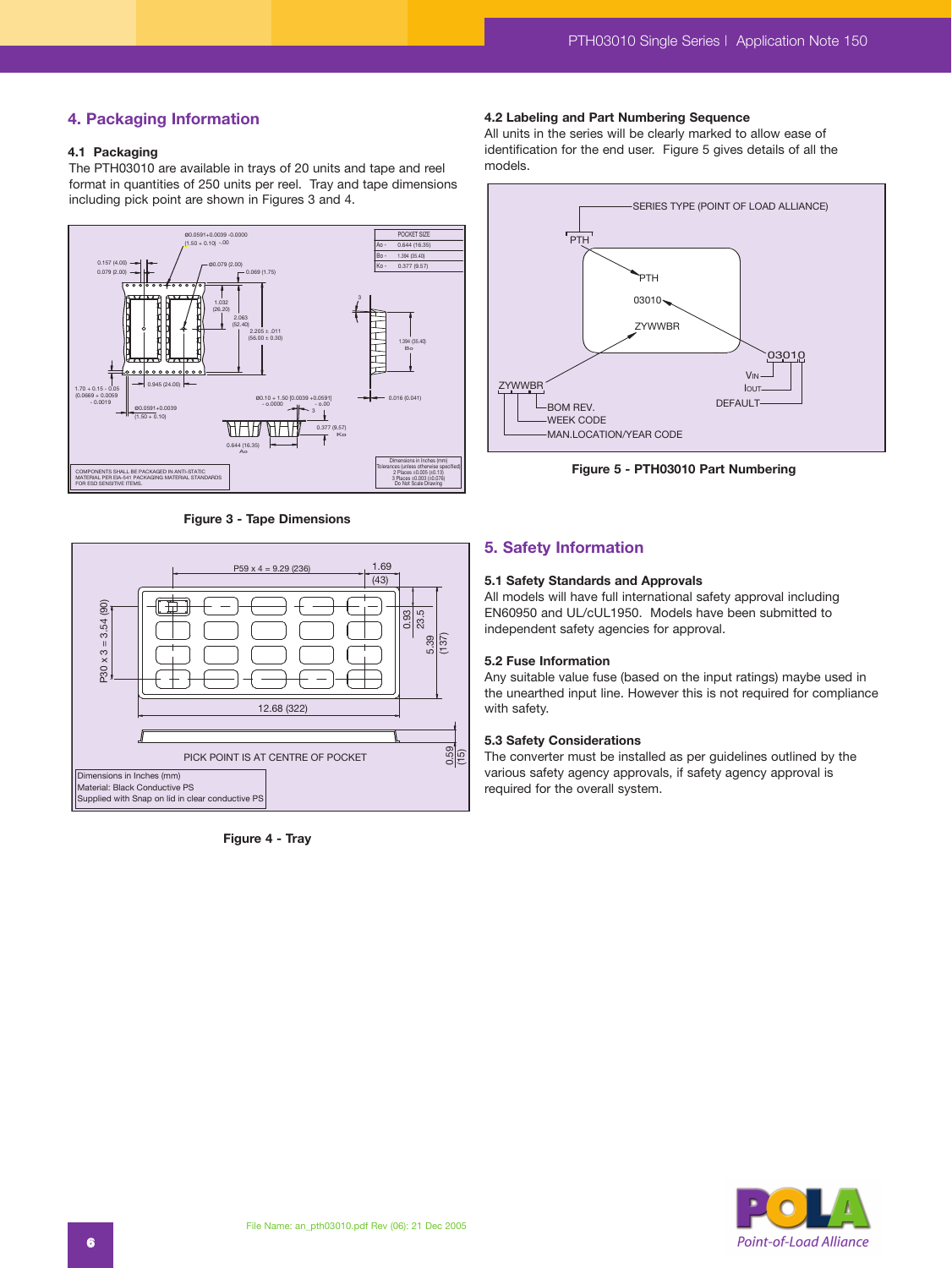# **4. Packaging Information**

# **4.1 Packaging**

The PTH03010 are available in trays of 20 units and tape and reel format in quantities of 250 units per reel. Tray and tape dimensions including pick point are shown in Figures 3 and 4.



**Figure 3 - Tape Dimensions**



**Figure 4 - Tray**

#### **4.2 Labeling and Part Numbering Sequence**

All units in the series will be clearly marked to allow ease of identification for the end user. Figure 5 gives details of all the models.



**Figure 5 - PTH03010 Part Numbering**

# **5. Safety Information**

#### **5.1 Safety Standards and Approvals**

All models will have full international safety approval including EN60950 and UL/cUL1950. Models have been submitted to independent safety agencies for approval.

#### **5.2 Fuse Information**

Any suitable value fuse (based on the input ratings) maybe used in the unearthed input line. However this is not required for compliance with safety.

#### **5.3 Safety Considerations**

The converter must be installed as per guidelines outlined by the various safety agency approvals, if safety agency approval is required for the overall system.

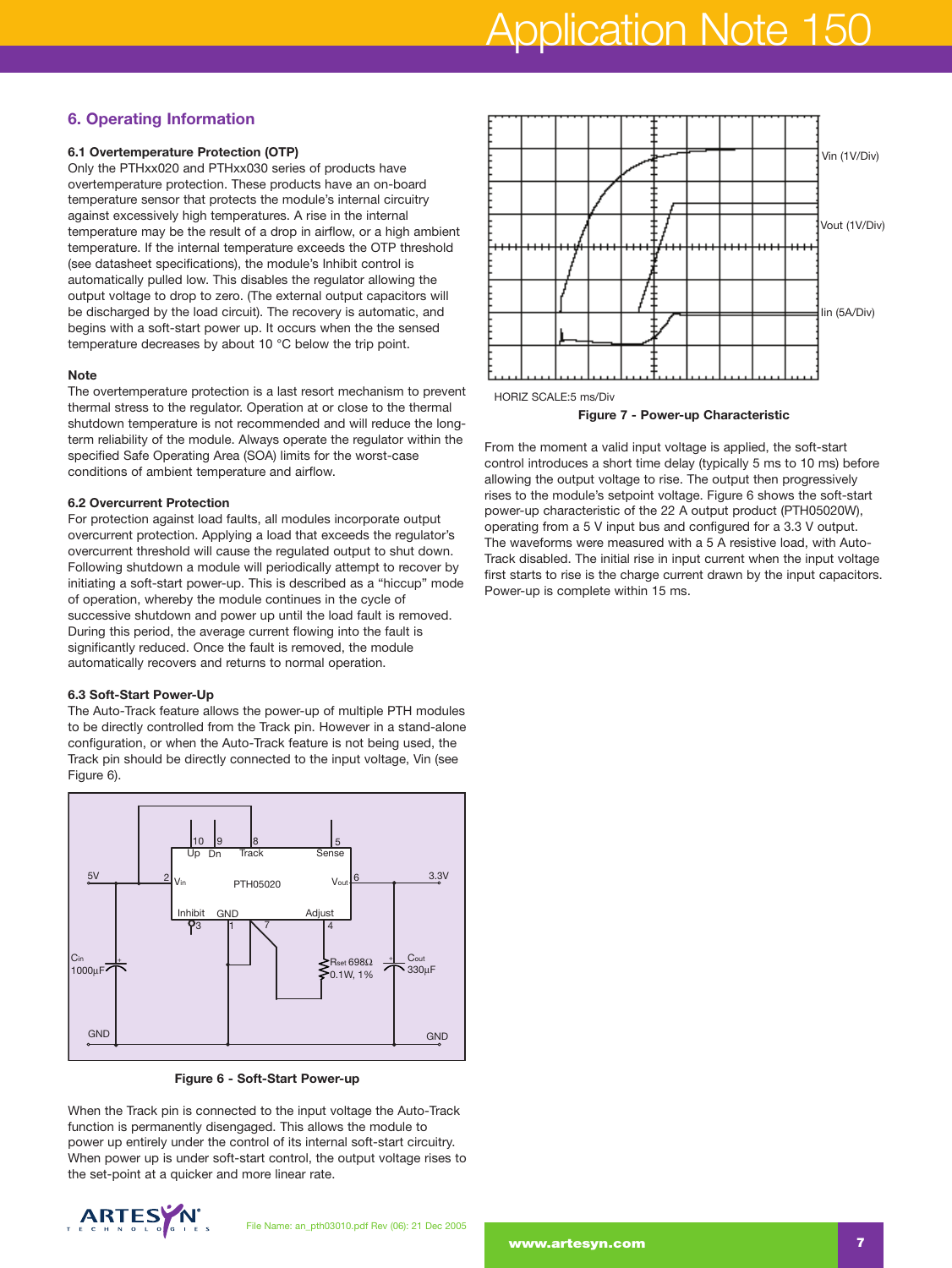# **6. Operating Information**

# **6.1 Overtemperature Protection (OTP)**

Only the PTHxx020 and PTHxx030 series of products have overtemperature protection. These products have an on-board temperature sensor that protects the module's internal circuitry against excessively high temperatures. A rise in the internal temperature may be the result of a drop in airflow, or a high ambient temperature. If the internal temperature exceeds the OTP threshold (see datasheet specifications), the module's Inhibit control is automatically pulled low. This disables the regulator allowing the output voltage to drop to zero. (The external output capacitors will be discharged by the load circuit). The recovery is automatic, and begins with a soft-start power up. It occurs when the the sensed temperature decreases by about 10 °C below the trip point.

## **Note**

The overtemperature protection is a last resort mechanism to prevent thermal stress to the regulator. Operation at or close to the thermal shutdown temperature is not recommended and will reduce the longterm reliability of the module. Always operate the regulator within the specified Safe Operating Area (SOA) limits for the worst-case conditions of ambient temperature and airflow.

# **6.2 Overcurrent Protection**

For protection against load faults, all modules incorporate output overcurrent protection. Applying a load that exceeds the regulator's overcurrent threshold will cause the regulated output to shut down. Following shutdown a module will periodically attempt to recover by initiating a soft-start power-up. This is described as a "hiccup" mode of operation, whereby the module continues in the cycle of successive shutdown and power up until the load fault is removed. During this period, the average current flowing into the fault is significantly reduced. Once the fault is removed, the module automatically recovers and returns to normal operation.

# **6.3 Soft-Start Power-Up**

The Auto-Track feature allows the power-up of multiple PTH modules to be directly controlled from the Track pin. However in a stand-alone configuration, or when the Auto-Track feature is not being used, the Track pin should be directly connected to the input voltage, Vin (see Figure 6).



**Figure 6 - Soft-Start Power-up**

When the Track pin is connected to the input voltage the Auto-Track function is permanently disengaged. This allows the module to power up entirely under the control of its internal soft-start circuitry. When power up is under soft-start control, the output voltage rises to the set-point at a quicker and more linear rate.





#### **Figure 7 - Power-up Characteristic**

From the moment a valid input voltage is applied, the soft-start control introduces a short time delay (typically 5 ms to 10 ms) before allowing the output voltage to rise. The output then progressively rises to the module's setpoint voltage. Figure 6 shows the soft-start power-up characteristic of the 22 A output product (PTH05020W), operating from a 5 V input bus and configured for a 3.3 V output. The waveforms were measured with a 5 A resistive load, with Auto-Track disabled. The initial rise in input current when the input voltage first starts to rise is the charge current drawn by the input capacitors. Power-up is complete within 15 ms.

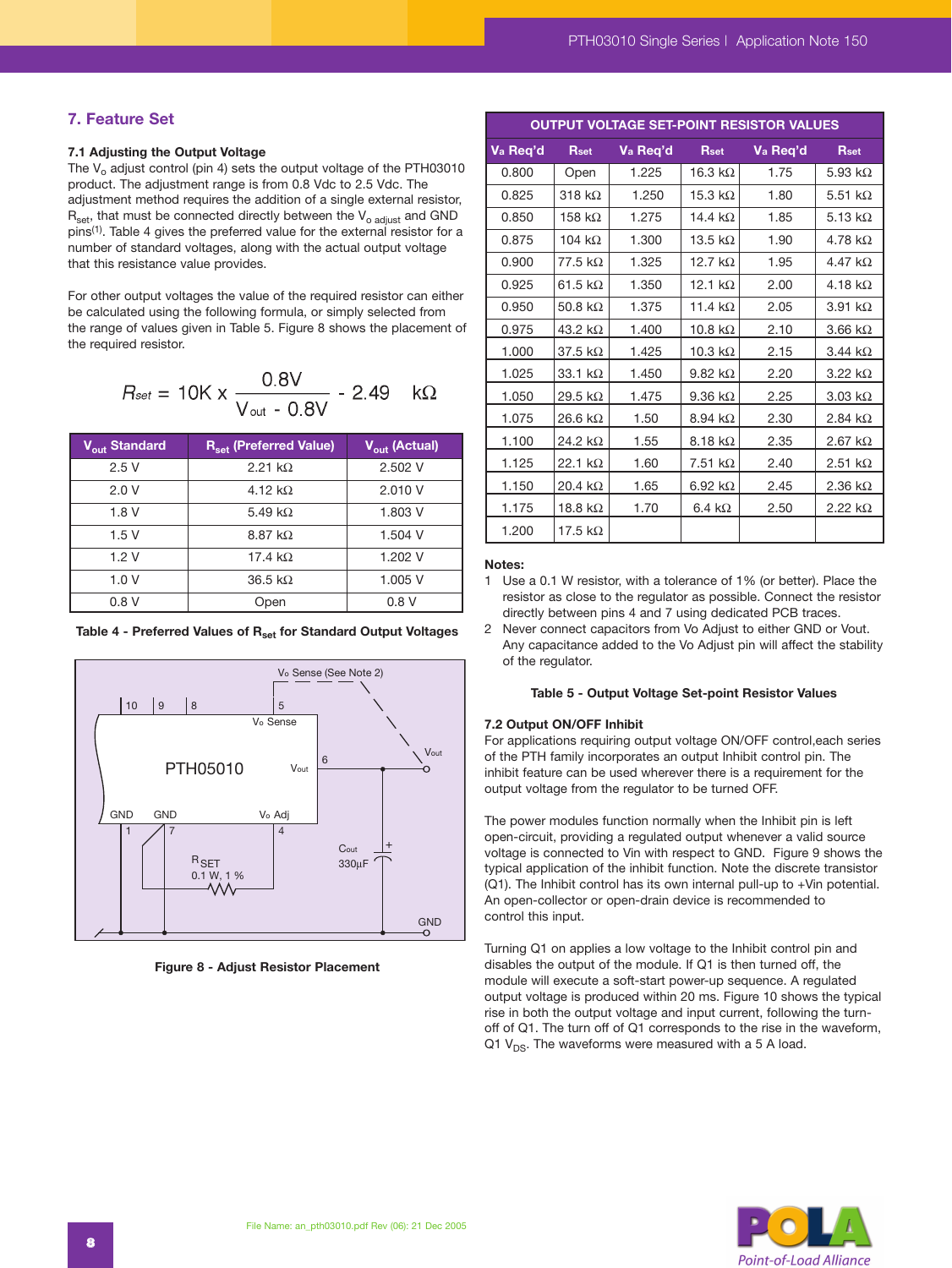# **7. Feature Set**

# **7.1 Adjusting the Output Voltage**

The  $V<sub>o</sub>$  adjust control (pin 4) sets the output voltage of the PTH03010 product. The adjustment range is from 0.8 Vdc to 2.5 Vdc. The adjustment method requires the addition of a single external resistor,  $R_{\text{set}}$ , that must be connected directly between the  $V_{\text{o adjust}}$  and GND pins<sup>(1)</sup>. Table 4 gives the preferred value for the external resistor for a number of standard voltages, along with the actual output voltage that this resistance value provides.

For other output voltages the value of the required resistor can either be calculated using the following formula, or simply selected from the range of values given in Table 5. Figure 8 shows the placement of the required resistor.

$$
R_{\text{set}} = 10 \text{K} \times \frac{0.8 \text{V}}{\text{V}_{\text{out}} - 0.8 \text{V}} - 2.49 \quad \text{k}\Omega
$$

|                           | V out - 0.8V                                                                                 |                           |  |
|---------------------------|----------------------------------------------------------------------------------------------|---------------------------|--|
| V <sub>out</sub> Standard | R <sub>set</sub> (Preferred Value)                                                           | V <sub>out</sub> (Actual) |  |
| 2.5V                      | 2.21 k $\Omega$                                                                              | 2.502 V                   |  |
| 2.0V                      | 4.12 $k\Omega$                                                                               | 2.010 V                   |  |
| 1.8V                      | 5.49 $k\Omega$                                                                               | 1.803 V                   |  |
| 1.5V                      | $8.87 \text{ k}\Omega$                                                                       | 1.504 V                   |  |
| 1.2V                      | 17.4 $k\Omega$                                                                               | 1.202 V                   |  |
| 1.0V                      | 36.5 $k\Omega$                                                                               | 1.005 V                   |  |
| 0.8V                      | Open                                                                                         | 0.8V                      |  |
|                           | Table 4 - Preferred Values of R <sub>set</sub> for Standard Output Voltages                  |                           |  |
| 10<br>$9\,$               | V <sub>o</sub> Sense (See Note 2)<br>8<br>5<br>V <sub>o</sub> Sense<br>6<br>PTH05010<br>Vout | Vout                      |  |

Table 4 - Preferred Values of R<sub>set</sub> for Standard Output Voltages



**Figure 8 - Adjust Resistor Placement**

| <b>OUTPUT VOLTAGE SET-POINT RESISTOR VALUES</b> |                           |          |                     |          |                        |  |  |
|-------------------------------------------------|---------------------------|----------|---------------------|----------|------------------------|--|--|
| Va Req'd                                        | Rset                      | Va Req'd | Rset                | Va Req'd | <b>Rset</b>            |  |  |
| 0.800                                           | Open                      | 1.225    | 16.3 k $\Omega$     | 1.75     | 5.93 $k\Omega$         |  |  |
| 0.825                                           | 318 k $\Omega$            | 1.250    | 15.3 k $\Omega$     | 1.80     | 5.51 k $\Omega$        |  |  |
| 0.850                                           | 158 k $\Omega$            | 1.275    | 14.4 k $\Omega$     | 1.85     | 5.13 $k\Omega$         |  |  |
| 0.875                                           | 104 $k\Omega$             | 1.300    | 13.5 k $\Omega$     | 1.90     | 4.78 k $\Omega$        |  |  |
| 0.900                                           | $77.5 \text{ k}\Omega$    | 1.325    | 12.7 k $\Omega$     | 1.95     | 4.47 $k\Omega$         |  |  |
| 0.925                                           | 61.5 k $\Omega$           | 1.350    | 12.1 k $\Omega$     | 2.00     | 4.18 k $\Omega$        |  |  |
| 0.950                                           | 50.8 k $\Omega$           | 1.375    | 11.4 $k\Omega$      | 2.05     | 3.91 $k\Omega$         |  |  |
| 0.975                                           | 43.2 k $\Omega$           | 1.400    | 10.8 k $\Omega$     | 2.10     | $3.66 \text{ k}\Omega$ |  |  |
| 1.000                                           | $37.5\; \mathrm{k}\Omega$ | 1.425    | 10.3 $k\Omega$      | 2.15     | 3.44 $k\Omega$         |  |  |
| 1.025                                           | 33.1 k $\Omega$           | 1.450    | $9.82\;$ k $\Omega$ | 2.20     | 3.22 $k\Omega$         |  |  |
| 1.050                                           | 29.5 $k\Omega$            | 1.475    | 9.36 $k\Omega$      | 2.25     | $3.03 k\Omega$         |  |  |
| 1.075                                           | 26.6 k $\Omega$           | 1.50     | 8.94 $k\Omega$      | 2.30     | 2.84 k $\Omega$        |  |  |
| 1.100                                           | 24.2 k $\Omega$           | 1.55     | 8.18 k $\Omega$     | 2.35     | 2.67 k $\Omega$        |  |  |
| 1.125                                           | 22.1 k $\Omega$           | 1.60     | 7.51 k $\Omega$     | 2.40     | $2.51 k\Omega$         |  |  |
| 1.150                                           | 20.4 k $\Omega$           | 1.65     | 6.92 k $\Omega$     | 2.45     | 2.36 k $\Omega$        |  |  |
| 1.175                                           | 18.8 k $\Omega$           | 1.70     | 6.4 $k\Omega$       | 2.50     | 2.22 k $\Omega$        |  |  |
| 1.200                                           | 17.5 $k\Omega$            |          |                     |          |                        |  |  |

#### **Notes:**

- 1 Use a 0.1 W resistor, with a tolerance of 1% (or better). Place the resistor as close to the regulator as possible. Connect the resistor directly between pins 4 and 7 using dedicated PCB traces.
- 2 Never connect capacitors from Vo Adjust to either GND or Vout. Any capacitance added to the Vo Adjust pin will affect the stability of the regulator.

#### **Table 5 - Output Voltage Set-point Resistor Values**

#### **7.2 Output ON/OFF Inhibit**

For applications requiring output voltage ON/OFF control,each series of the PTH family incorporates an output Inhibit control pin. The inhibit feature can be used wherever there is a requirement for the output voltage from the regulator to be turned OFF.

The power modules function normally when the Inhibit pin is left open-circuit, providing a regulated output whenever a valid source voltage is connected to Vin with respect to GND. Figure 9 shows the typical application of the inhibit function. Note the discrete transistor (Q1). The Inhibit control has its own internal pull-up to +Vin potential. An open-collector or open-drain device is recommended to control this input.

Turning Q1 on applies a low voltage to the Inhibit control pin and disables the output of the module. If Q1 is then turned off, the module will execute a soft-start power-up sequence. A regulated output voltage is produced within 20 ms. Figure 10 shows the typical rise in both the output voltage and input current, following the turnoff of Q1. The turn off of Q1 corresponds to the rise in the waveform, Q1  $V_{DS}$ . The waveforms were measured with a 5 A load.

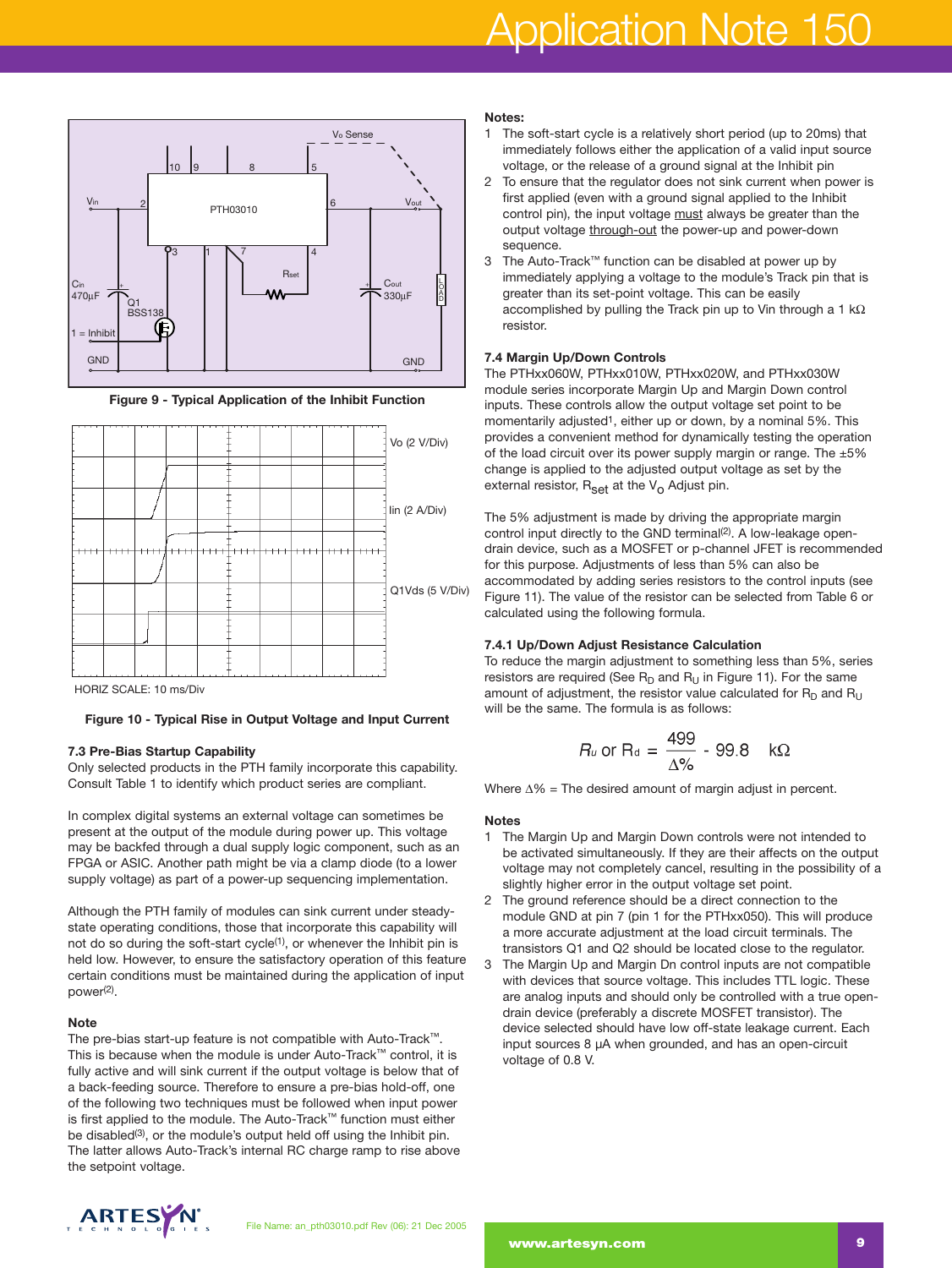# **Application Note 150**



**Figure 9 - Typical Application of the Inhibit Function**



HORIZ SCALE: 10 ms/Div

#### **Figure 10 - Typical Rise in Output Voltage and Input Current**

## **7.3 Pre-Bias Startup Capability**

Only selected products in the PTH family incorporate this capability. Consult Table 1 to identify which product series are compliant.

In complex digital systems an external voltage can sometimes be present at the output of the module during power up. This voltage may be backfed through a dual supply logic component, such as an FPGA or ASIC. Another path might be via a clamp diode (to a lower supply voltage) as part of a power-up sequencing implementation.

Although the PTH family of modules can sink current under steadystate operating conditions, those that incorporate this capability will not do so during the soft-start cycle<sup>(1)</sup>, or whenever the Inhibit pin is held low. However, to ensure the satisfactory operation of this feature certain conditions must be maintained during the application of input power<sup>(2)</sup>.

#### **Note**

The pre-bias start-up feature is not compatible with Auto-Track™. This is because when the module is under Auto-Track™ control, it is fully active and will sink current if the output voltage is below that of a back-feeding source. Therefore to ensure a pre-bias hold-off, one of the following two techniques must be followed when input power is first applied to the module. The Auto-Track™ function must either be disabled<sup>(3)</sup>, or the module's output held off using the Inhibit pin. The latter allows Auto-Track's internal RC charge ramp to rise above the setpoint voltage.

#### **Notes:**

- 1 The soft-start cycle is a relatively short period (up to 20ms) that immediately follows either the application of a valid input source voltage, or the release of a ground signal at the Inhibit pin
- 2 To ensure that the regulator does not sink current when power is first applied (even with a ground signal applied to the Inhibit control pin), the input voltage must always be greater than the output voltage through-out the power-up and power-down sequence.
- 3 The Auto-Track™ function can be disabled at power up by immediately applying a voltage to the module's Track pin that is greater than its set-point voltage. This can be easily accomplished by pulling the Track pin up to Vin through a 1 k $\Omega$ resistor.

# **7.4 Margin Up/Down Controls**

The PTHxx060W, PTHxx010W, PTHxx020W, and PTHxx030W module series incorporate Margin Up and Margin Down control inputs. These controls allow the output voltage set point to be momentarily adjusted<sup>1</sup>, either up or down, by a nominal 5%. This provides a convenient method for dynamically testing the operation of the load circuit over its power supply margin or range. The  $\pm 5\%$ change is applied to the adjusted output voltage as set by the external resistor,  $R_{\text{set}}$  at the  $V_{\text{O}}$  Adjust pin.

The 5% adjustment is made by driving the appropriate margin control input directly to the GND terminal<sup>(2)</sup>. A low-leakage opendrain device, such as a MOSFET or p-channel JFET is recommended for this purpose. Adjustments of less than 5% can also be accommodated by adding series resistors to the control inputs (see Figure 11). The value of the resistor can be selected from Table 6 or calculated using the following formula.

# **7.4.1 Up/Down Adjust Resistance Calculation**

To reduce the margin adjustment to something less than 5%, series resistors are required (See  $R_D$  and  $R_U$  in Figure 11). For the same amount of adjustment, the resistor value calculated for  $R_D$  and  $R_{\rm H}$ will be the same. The formula is as follows:

$$
R_u \text{ or } R_d = \frac{499}{\Delta\%} - 99.8 \quad k\Omega
$$

Where ∆% = The desired amount of margin adjust in percent.

# **Notes**

- 1 The Margin Up and Margin Down controls were not intended to be activated simultaneously. If they are their affects on the output voltage may not completely cancel, resulting in the possibility of a slightly higher error in the output voltage set point.
- 2 The ground reference should be a direct connection to the module GND at pin 7 (pin 1 for the PTHxx050). This will produce a more accurate adjustment at the load circuit terminals. The transistors Q1 and Q2 should be located close to the regulator.
- 3 The Margin Up and Margin Dn control inputs are not compatible with devices that source voltage. This includes TTL logic. These are analog inputs and should only be controlled with a true opendrain device (preferably a discrete MOSFET transistor). The device selected should have low off-state leakage current. Each input sources 8 µA when grounded, and has an open-circuit voltage of 0.8 V.

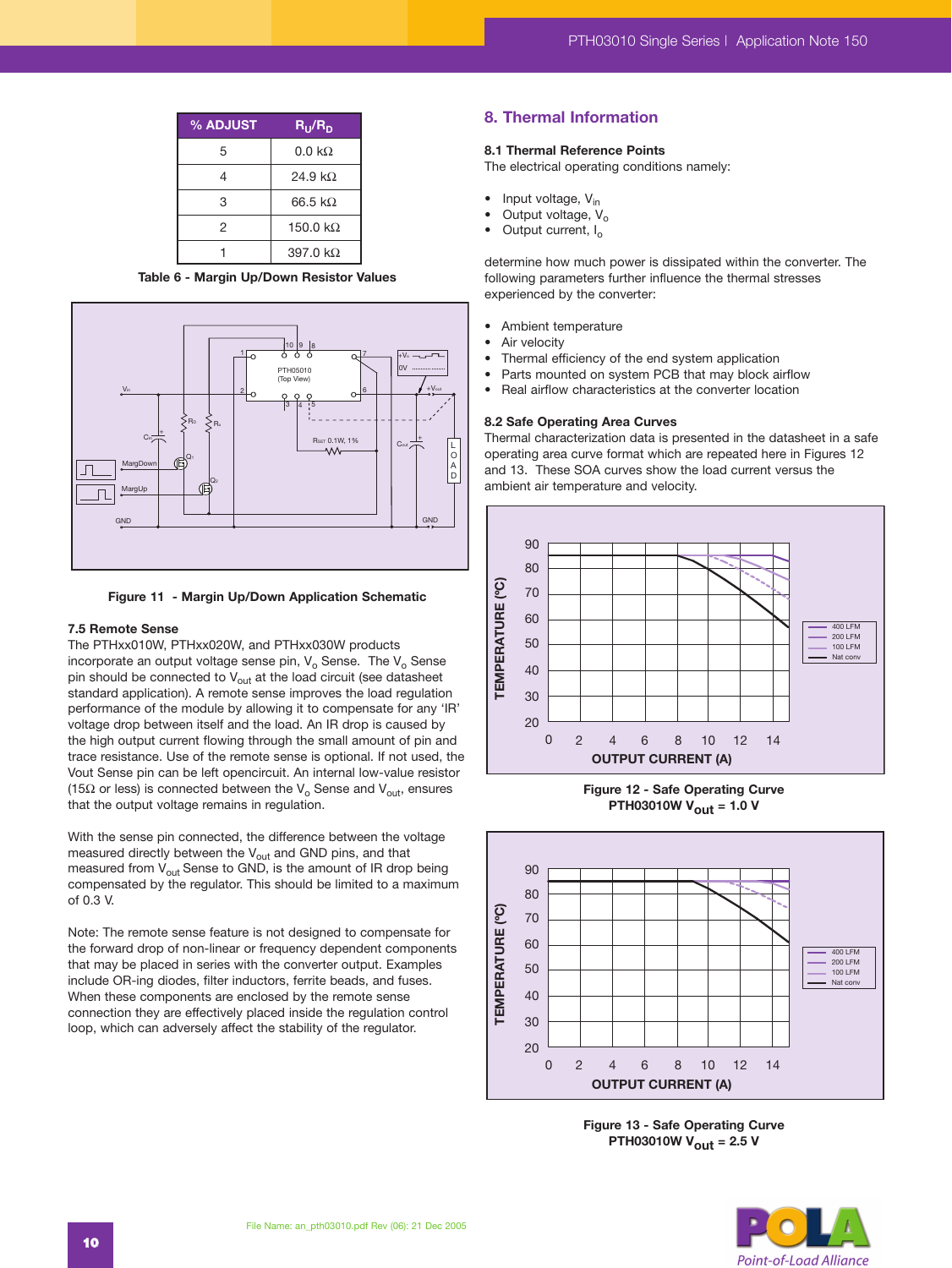| % ADJUST | $R_U/R_D$        |
|----------|------------------|
| 5        | $0.0\;k\Omega$   |
| 4        | 24.9 k $\Omega$  |
| 3        | 66.5 kQ          |
| 2        | 150.0 k $\Omega$ |
|          | 397.0 k $\Omega$ |

**Table 6 - Margin Up/Down Resistor Values**



**Figure 11 - Margin Up/Down Application Schematic**

#### **7.5 Remote Sense**

The PTHxx010W, PTHxx020W, and PTHxx030W products incorporate an output voltage sense pin,  $V_0$  Sense. The  $V_0$  Sense pin should be connected to  $V_{\text{out}}$  at the load circuit (see datasheet standard application). A remote sense improves the load regulation performance of the module by allowing it to compensate for any 'IR' voltage drop between itself and the load. An IR drop is caused by the high output current flowing through the small amount of pin and trace resistance. Use of the remote sense is optional. If not used, the Vout Sense pin can be left opencircuit. An internal low-value resistor (15 $\Omega$  or less) is connected between the V<sub>o</sub> Sense and V<sub>out</sub>, ensures that the output voltage remains in regulation.

With the sense pin connected, the difference between the voltage measured directly between the  $\mathsf{V}_{\mathsf{out}}$  and GND pins, and that measured from V $_{\rm out}$  Sense to GND, is the amount of IR drop being compensated by the regulator. This should be limited to a maximum of 0.3 V.

Note: The remote sense feature is not designed to compensate for the forward drop of non-linear or frequency dependent components that may be placed in series with the converter output. Examples include OR-ing diodes, filter inductors, ferrite beads, and fuses. When these components are enclosed by the remote sense connection they are effectively placed inside the regulation control loop, which can adversely affect the stability of the regulator.

# **8. Thermal Information**

#### **8.1 Thermal Reference Points**

The electrical operating conditions namely:

- $\bullet$  Input voltage,  $V_{in}$
- Output voltage,  $V_0$
- Output current, I<sub>o</sub>

determine how much power is dissipated within the converter. The following parameters further influence the thermal stresses experienced by the converter:

- Ambient temperature
- Air velocity
- Thermal efficiency of the end system application
- Parts mounted on system PCB that may block airflow
- Real airflow characteristics at the converter location

#### **8.2 Safe Operating Area Curves**

Thermal characterization data is presented in the datasheet in a safe operating area curve format which are repeated here in Figures 12 and 13. These SOA curves show the load current versus the ambient air temperature and velocity.



**Figure 12 - Safe Operating Curve PTH03010W V<sub>out</sub> = 1.0 V** 



**Figure 13 - Safe Operating Curve PTH03010W Vout = 2.5 V**

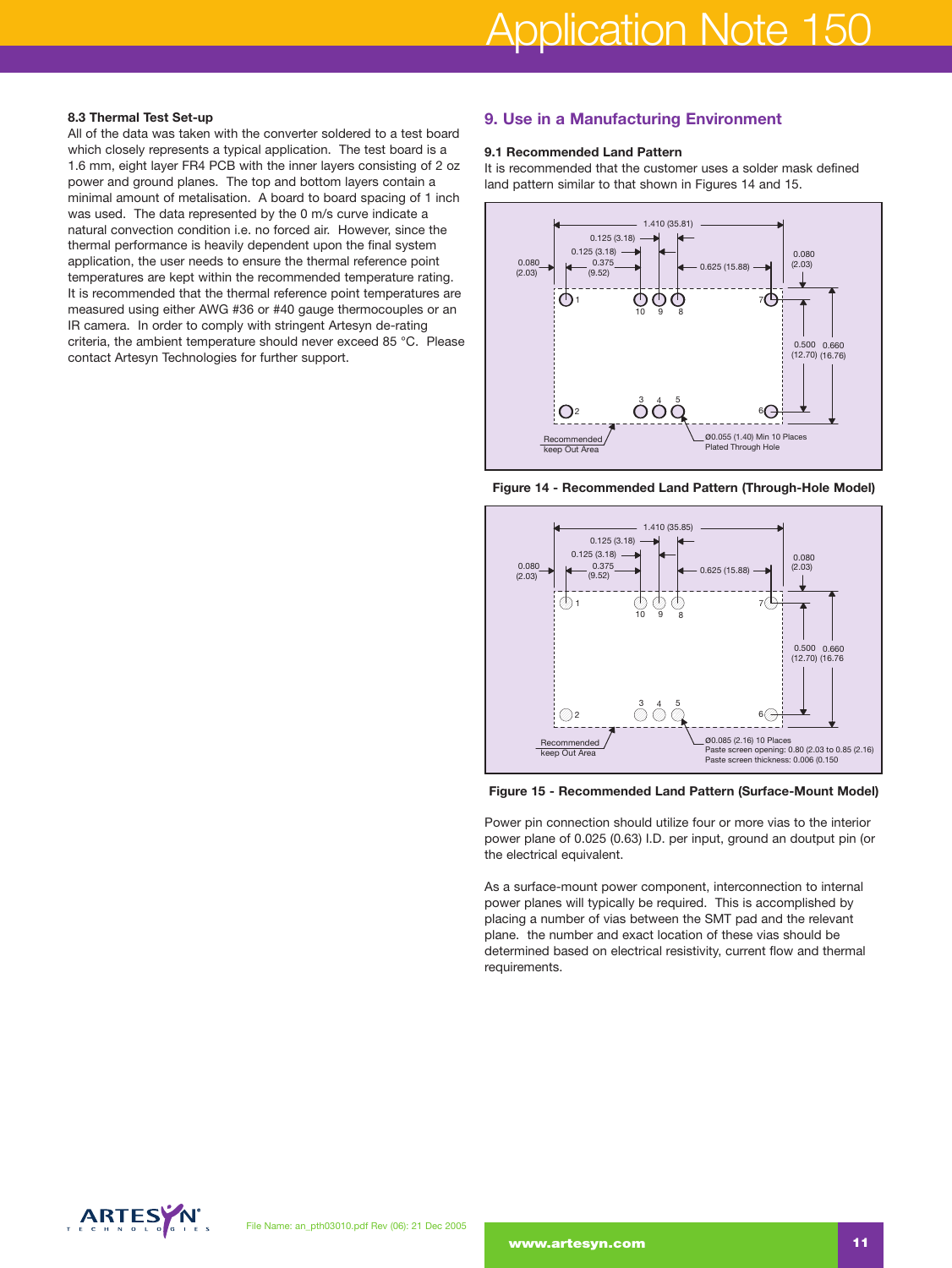## **8.3 Thermal Test Set-up**

All of the data was taken with the converter soldered to a test board which closely represents a typical application. The test board is a 1.6 mm, eight layer FR4 PCB with the inner layers consisting of 2 oz power and ground planes. The top and bottom layers contain a minimal amount of metalisation. A board to board spacing of 1 inch was used. The data represented by the 0 m/s curve indicate a natural convection condition i.e. no forced air. However, since the thermal performance is heavily dependent upon the final system application, the user needs to ensure the thermal reference point temperatures are kept within the recommended temperature rating. It is recommended that the thermal reference point temperatures are measured using either AWG #36 or #40 gauge thermocouples or an IR camera. In order to comply with stringent Artesyn de-rating criteria, the ambient temperature should never exceed 85 °C. Please contact Artesyn Technologies for further support.

# **9. Use in a Manufacturing Environment**

# **9.1 Recommended Land Pattern**

It is recommended that the customer uses a solder mask defined land pattern similar to that shown in Figures 14 and 15.



**Figure 14 - Recommended Land Pattern (Through-Hole Model)**



**Figure 15 - Recommended Land Pattern (Surface-Mount Model)**

Power pin connection should utilize four or more vias to the interior power plane of 0.025 (0.63) I.D. per input, ground an doutput pin (or the electrical equivalent.

As a surface-mount power component, interconnection to internal power planes will typically be required. This is accomplished by placing a number of vias between the SMT pad and the relevant plane. the number and exact location of these vias should be determined based on electrical resistivity, current flow and thermal requirements.

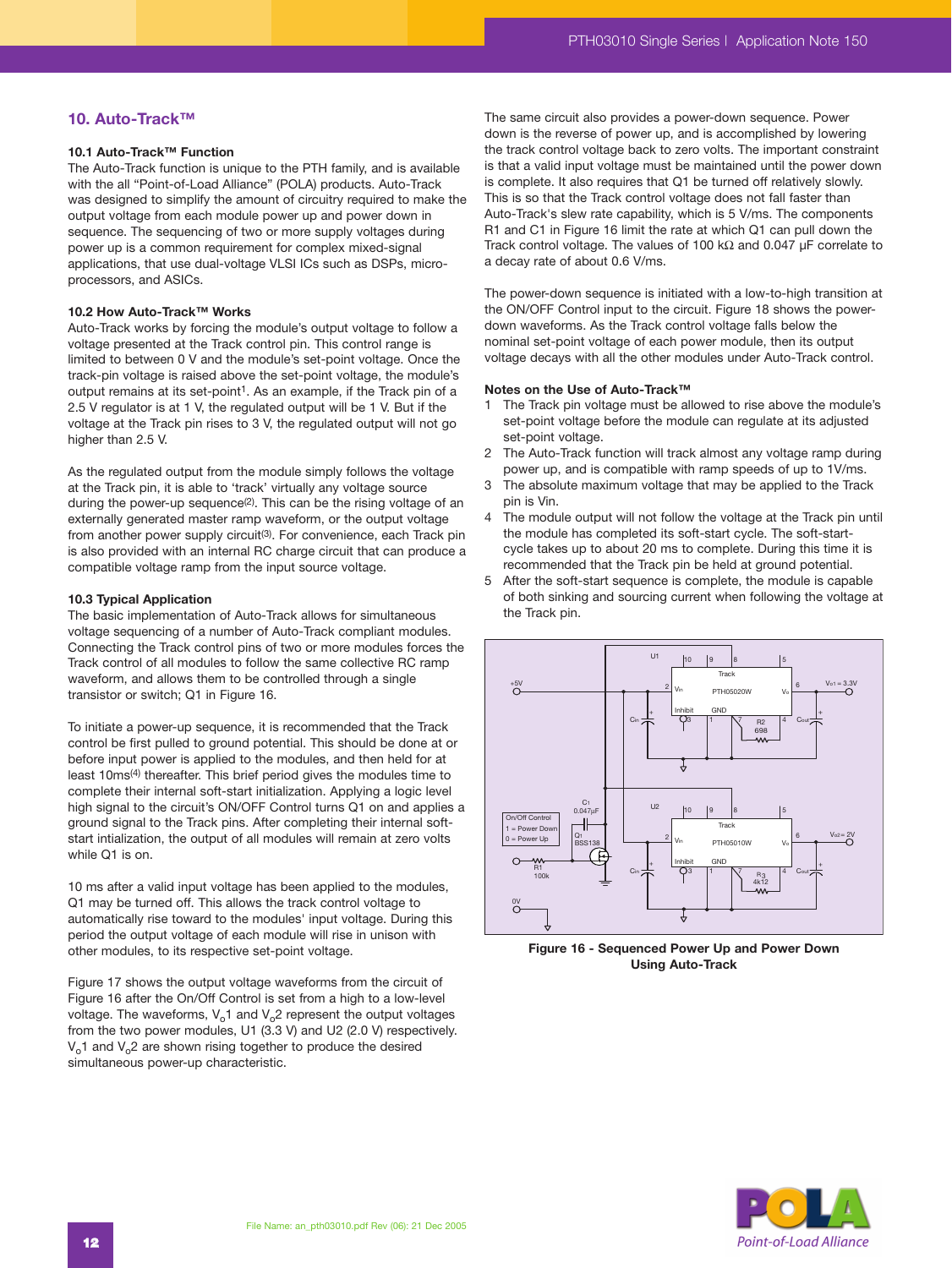# **10. Auto-Track™**

# **10.1 Auto-Track™ Function**

The Auto-Track function is unique to the PTH family, and is available with the all "Point-of-Load Alliance" (POLA) products. Auto-Track was designed to simplify the amount of circuitry required to make the output voltage from each module power up and power down in sequence. The sequencing of two or more supply voltages during power up is a common requirement for complex mixed-signal applications, that use dual-voltage VLSI ICs such as DSPs, microprocessors, and ASICs.

#### **10.2 How Auto-Track™ Works**

Auto-Track works by forcing the module's output voltage to follow a voltage presented at the Track control pin. This control range is limited to between 0 V and the module's set-point voltage. Once the track-pin voltage is raised above the set-point voltage, the module's output remains at its set-point<sup>1</sup>. As an example, if the Track pin of a 2.5 V regulator is at 1 V, the regulated output will be 1 V. But if the voltage at the Track pin rises to 3 V, the regulated output will not go higher than 2.5 V.

As the regulated output from the module simply follows the voltage at the Track pin, it is able to 'track' virtually any voltage source during the power-up sequence<sup>(2)</sup>. This can be the rising voltage of an externally generated master ramp waveform, or the output voltage from another power supply circuit<sup>(3)</sup>. For convenience, each Track pin is also provided with an internal RC charge circuit that can produce a compatible voltage ramp from the input source voltage.

#### **10.3 Typical Application**

The basic implementation of Auto-Track allows for simultaneous voltage sequencing of a number of Auto-Track compliant modules. Connecting the Track control pins of two or more modules forces the Track control of all modules to follow the same collective RC ramp waveform, and allows them to be controlled through a single transistor or switch; Q1 in Figure 16.

To initiate a power-up sequence, it is recommended that the Track control be first pulled to ground potential. This should be done at or before input power is applied to the modules, and then held for at least 10ms<sup>(4)</sup> thereafter. This brief period gives the modules time to complete their internal soft-start initialization. Applying a logic level high signal to the circuit's ON/OFF Control turns Q1 on and applies a ground signal to the Track pins. After completing their internal softstart intialization, the output of all modules will remain at zero volts while Q1 is on.

10 ms after a valid input voltage has been applied to the modules, Q1 may be turned off. This allows the track control voltage to automatically rise toward to the modules' input voltage. During this period the output voltage of each module will rise in unison with other modules, to its respective set-point voltage.

Figure 17 shows the output voltage waveforms from the circuit of Figure 16 after the On/Off Control is set from a high to a low-level voltage. The waveforms,  $V_01$  and  $V_02$  represent the output voltages from the two power modules, U1 (3.3 V) and U2 (2.0 V) respectively.  $V_0$ 1 and  $V_0$ 2 are shown rising together to produce the desired simultaneous power-up characteristic.

The same circuit also provides a power-down sequence. Power down is the reverse of power up, and is accomplished by lowering the track control voltage back to zero volts. The important constraint is that a valid input voltage must be maintained until the power down is complete. It also requires that Q1 be turned off relatively slowly. This is so that the Track control voltage does not fall faster than Auto-Track's slew rate capability, which is 5 V/ms. The components R1 and C1 in Figure 16 limit the rate at which Q1 can pull down the Track control voltage. The values of 100 kΩ and 0.047 µF correlate to a decay rate of about 0.6 V/ms.

The power-down sequence is initiated with a low-to-high transition at the ON/OFF Control input to the circuit. Figure 18 shows the powerdown waveforms. As the Track control voltage falls below the nominal set-point voltage of each power module, then its output voltage decays with all the other modules under Auto-Track control.

#### **Notes on the Use of Auto-Track™**

- 1 The Track pin voltage must be allowed to rise above the module's set-point voltage before the module can regulate at its adjusted set-point voltage.
- 2 The Auto-Track function will track almost any voltage ramp during power up, and is compatible with ramp speeds of up to 1V/ms.
- 3 The absolute maximum voltage that may be applied to the Track pin is Vin.
- 4 The module output will not follow the voltage at the Track pin until the module has completed its soft-start cycle. The soft-startcycle takes up to about 20 ms to complete. During this time it is recommended that the Track pin be held at ground potential.
- 5 After the soft-start sequence is complete, the module is capable of both sinking and sourcing current when following the voltage at the Track pin.



**Figure 16 - Sequenced Power Up and Power Down Using Auto-Track**